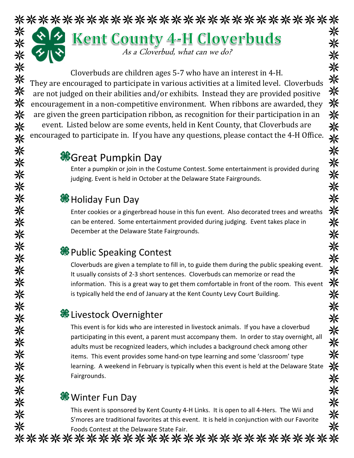# \*\*\*\*\*\*\*\*\*\*\*\*\*\*\*\*\*\*\*\*\*\*\*\*\*\*\* 米 **Kent County 4-H Cloverbuds** 米米米米米米 As a Cloverbud, what can we do?

Cloverbuds are children ages 5-7 who have an interest in 4-H. They are encouraged to participate in various activities at a limited level. Cloverbuds are not judged on their abilities and/or exhibits. Instead they are provided positive encouragement in a non-competitive environment. When ribbons are awarded, they are given the green participation ribbon, as recognition for their participation in an event. Listed below are some events, held in Kent County, that Cloverbuds are encouraged to participate in. If you have any questions, please contact the 4-H Office.

# **C**Great Pumpkin Day

Enter a pumpkin or join in the Costume Contest. Some entertainment is provided during judging. Event is held in October at the Delaware State Fairgrounds.

### **<sup><sup>8</sup>**</sup> Holiday Fun Day

米

米

米米

☀

☀

米

☀

兴

米米米

※

\*\*\*\*\*\*\*\*\*

米

☀

兴 米

米米米

米

Enter cookies or a gingerbread house in this fun event. Also decorated trees and wreaths can be entered. Some entertainment provided during judging. Event takes place in December at the Delaware State Fairgrounds.

# <sup>●</sup>Public Speaking Contest

Cloverbuds are given a template to fill in, to guide them during the public speaking event. It usually consists of 2-3 short sentences. Cloverbuds can memorize or read the information. This is a great way to get them comfortable in front of the room. This event is typically held the end of January at the Kent County Levy Court Building.

### **&** Livestock Overnighter

This event is for kids who are interested in livestock animals. If you have a cloverbud participating in this event, a parent must accompany them. In order to stay overnight, all adults must be recognized leaders, which includes a background check among other items. This event provides some hand-on type learning and some 'classroom' type learning. A weekend in February is typically when this event is held at the Delaware State Fairgrounds.

### **<sup>‰</sup>** Winter Fun Day

This event is sponsored by Kent County 4-H Links. It is open to all 4-Hers. The Wii and S'mores are traditional favorites at this event. It is held in conjunction with our Favorite Foods Contest at the Delaware State Fair.